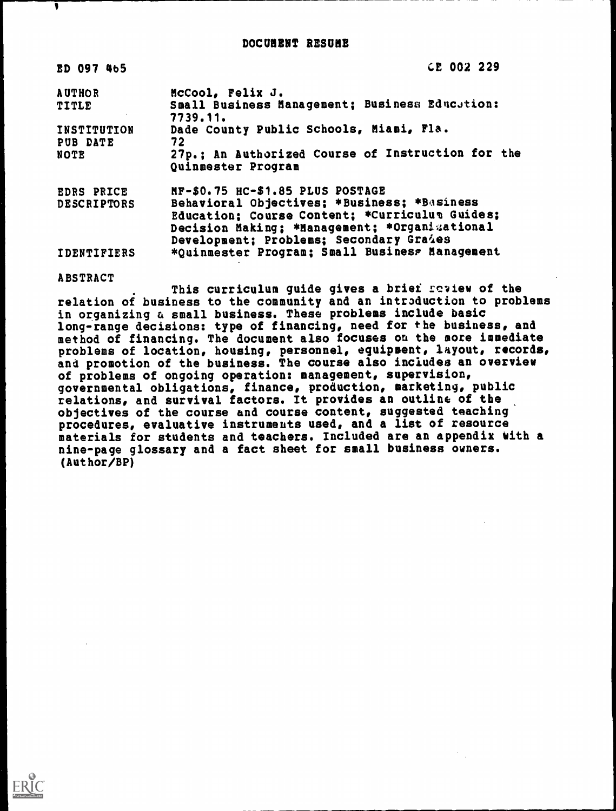| ED 097 465                       | CE 002 229                                                                                                                                 |
|----------------------------------|--------------------------------------------------------------------------------------------------------------------------------------------|
| <b>AUTHOR</b>                    | McCool, Felix J.                                                                                                                           |
| <b>TITLE</b>                     | Small Business Management; Business Education:<br>7739.11.                                                                                 |
| INSTITUTION                      | Dade County Public Schools, Miami, Fla.                                                                                                    |
| PUB DATE<br><b>NOTE</b>          | 72<br>27p.; An Authorized Course of Instruction for the<br>Quinmester Program                                                              |
| EDRS PRICE<br><b>DESCRIPTORS</b> | MF-\$0.75 HC-\$1.85 PLUS POSTAGE<br>Behavioral Objectives; *Business; *Basiness                                                            |
|                                  | Education; Course Content; *Curriculua Guides;<br>Decision Making; *Management; *Organizational<br>Development; Problems; Secondary Graies |
| <b>IDENTIFIERS</b>               | *Quinmester Program; Small Business Management                                                                                             |

ABSTRACT

۷

This curriculum guide gives a brief review of the relation of business to the community and an introduction to problems in organizing a small business. These problems include basic long-range decisions: type of financing, need for the business, and method of financing. The document also focuses on the more immediate problems of location, housing, personnel, equipment, layout, records, and promotion of the business. The course also includes an overview of problems of ongoing operation: management, supervision, governmental obligations, finance, production, marketing, public relations, and survival factors. It provides an outline of the objectives of the course and course content, suggested teaching procedures, evaluative instruments used, and a list of resource materials for students and teachers. Included are an appendix with a nine-page glossary and a fact sheet for small business owners. (Author/BP)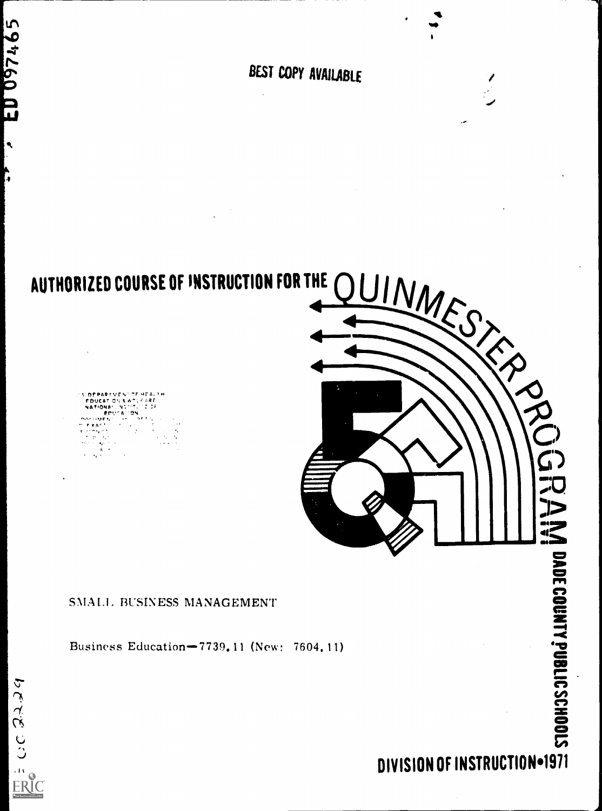BEST COPY AVAILABLE

()FRARTYEN' OF HEALTH FDUCAr C.; I, 4ATIoNa r



# SNIALI, BUSINESS MANAGEMENT

Business Education-7739,11 (New: 7604,11)

# DIVISION OF INSTRUCTION=1971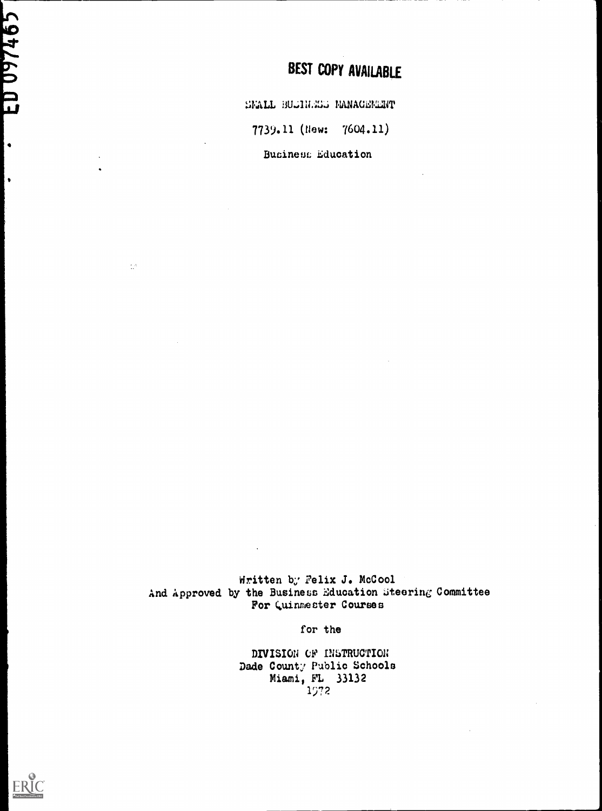# **BEST COPY AVAILABLE**

SMALL BUGINESS MANAGEMENT

7739.11 (New: 7604.11)

Business Education

Written by Felix J. McCool And Approved by the Business Education Steering Committee For Quinmester Courses

for the

DIVISION OF INSTRUCTION Dade County Public Schools Miami, FL 33132 1972



ED 097465

|<br>|•

l.

 $\frac{1}{2}$  A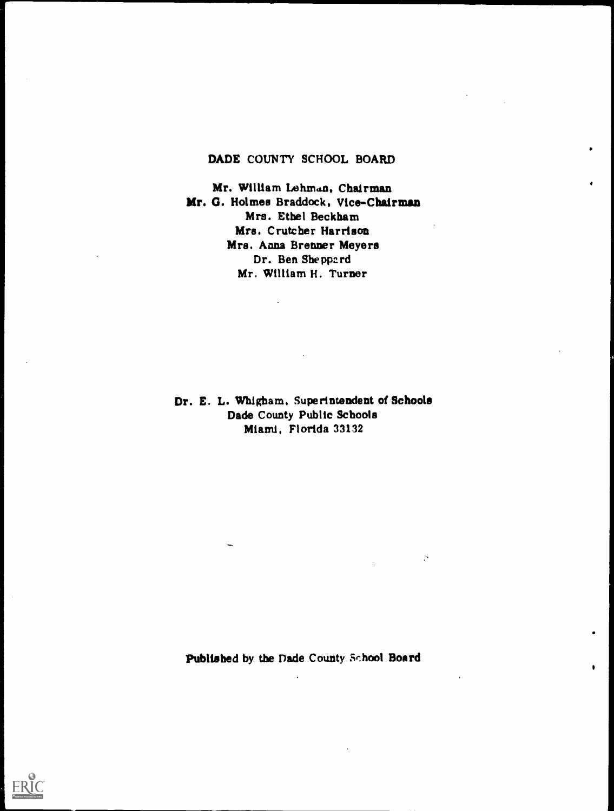## DADE COUNTY SCHOOL BOARD

Mr. William Lehman, Chairman Mr. G. Holmes Braddock, Vice-Chairman Mrs. Ethel Beckham Mrs. Cruteher Harrison Mrs. Anna Brenner Meyers Dr. Ben Sheppard Mr. William H. Turner

Dr. E. L. WhIgham, Superintendent of Schools Dade County Public Schools Miami, Florida 33132

Published by the Dade County School Board

 $\mathcal{L}$ 

 $\bullet$ 

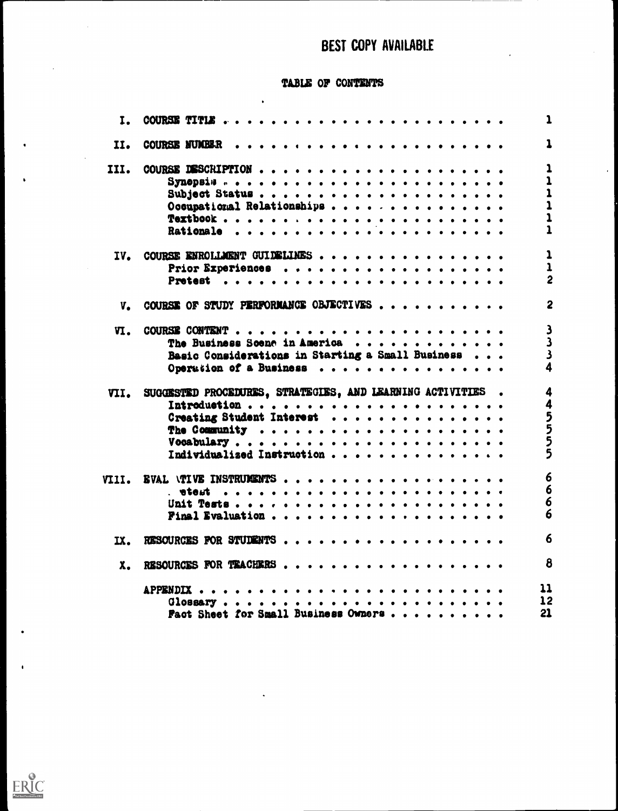# BEST COPY AVAILABLE

 $\ddot{\phantom{a}}$ 

### TABLE OF CONTENTS

 $\ddot{\phantom{0}}$ 

| I.    |                                                            | ı               |
|-------|------------------------------------------------------------|-----------------|
| II.   | <b>COURSE NUMBER</b>                                       | ı               |
| III.  |                                                            |                 |
|       |                                                            |                 |
|       | Subject Status                                             |                 |
|       | Occupational Relationships                                 |                 |
|       |                                                            |                 |
|       |                                                            |                 |
|       |                                                            |                 |
| IV.   | COURSE ENROLLAGENT GUIDELINES                              | 1               |
|       |                                                            | 1               |
|       |                                                            | 2               |
|       |                                                            |                 |
| V.    | COURSE OF STUDY PERFORMANCE OBJECTIVES                     | 2               |
| VI.   |                                                            | 3               |
|       | The Business Scene in America                              | 3               |
|       |                                                            |                 |
|       | Basic Considerations in Starting a Small Business          |                 |
|       | Operation of a Business                                    |                 |
| VII.  | SUGGESTED PROCEDURES, STRATEGIES, AND LEARNING ACTIVITIES. | 4               |
|       |                                                            | 4               |
|       | Creating Student Interest                                  |                 |
|       |                                                            | ううらう            |
|       |                                                            |                 |
|       |                                                            |                 |
|       | Individualized Instruction                                 |                 |
| VIII. | <b>EVAL \TIVE INSTRUMENTS</b>                              | 6               |
|       | . <b>.</b><br>etert                                        | 6               |
|       |                                                            | 6               |
|       | Final Evaluation                                           | O               |
|       |                                                            |                 |
| IX.   | RESOURCES FOR STUDENTS                                     | 6               |
| X.    | RESOURCES FOR TEACHERS                                     | 8               |
|       |                                                            | 11              |
|       |                                                            | $\overline{12}$ |
|       |                                                            | 21              |
|       | Fact Sheet for Small Business Owners                       |                 |

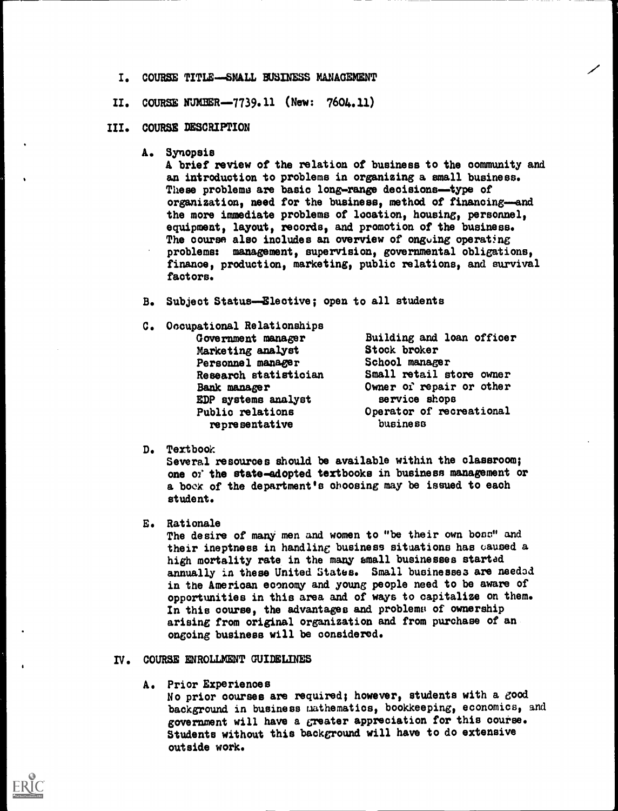- I. COURSE TITLE-SMALL BUSINESS MANAGEMENT
- II. COURSE NUMBER-7739.11 (New: 7604.11)

#### III. COURSE DESCRIPTION

A. Synopsis

A brief review of the relation of business to the community and an introduction to problems in organizing a small business. These problems are basic long-range decisions-type of organization, need for the business, method of financing-and the more immediate problems of location, housing, personnel, equipment, layout, records, and promotion of the business. The course also includes an overview of ongoing operating problems: management, supervision, governmental obligations, finance, production, marketing, public relations, and survival factors.

- B. Subject Status-Elective; open to all students
- C. Occupational Relationships Government manager Marketing analyst Personnel manager Research statistician Bank manager EDP systems analyst Public relations representative

Building and loan officer Stock broker School manager Small retail store owner Owner of repair or other service shops Operator of recreational business

D. Textbook

Several resources should be available within the classroom; one 07' the state-adopted textbooks in business management or a book of the department's choosing may be issued to each student.

E. Rationale

The desire of many men and women to "be their own boss" and their ineptness in handling business situations has caused a high mortality rate in the many small businesses startad annually in these United States. Small businesses are needed in the Amerioan economy and young people need to be aware of opportunities in this area and of ways to capitalize on them. In this course, the advantages and problems of ownership arising from original organization and from purchase of an ongoing business will be considered.

- IV. COURSE ENROLLMENT GUIDELINES
	- A. Prior Experiences

No prior oourses are required; however, students with a good background in business mathematics, bookkeeping, economics, and government will have a greater appreciation for this course. Students without this background will have to do extensive outside work.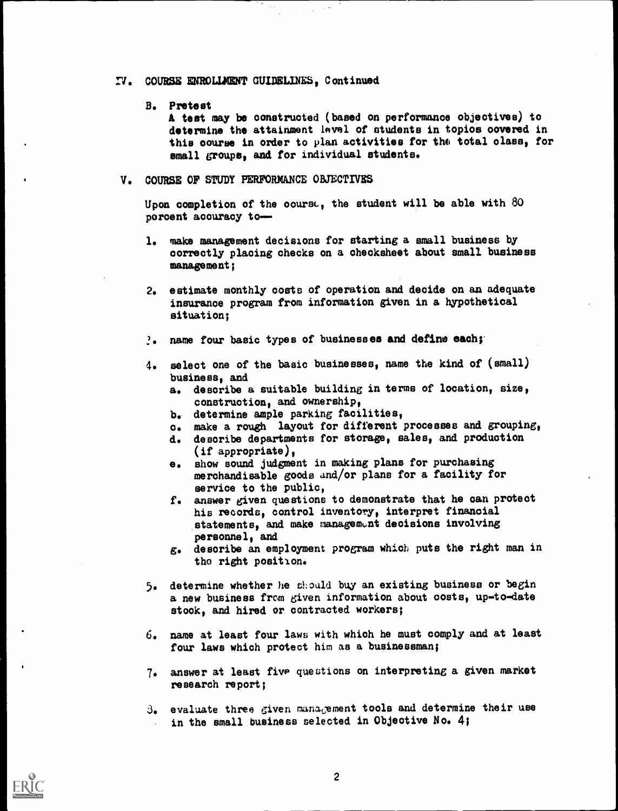#### I. COURSE ENROLMENT GUIDELINES, Continued

#### B. Pretest

A test may be constructed (based on performance objectives) to determine the attainment lavel of students in topios covered in this course in order to plan activities for the total class, for small groups, and for individual students.

#### V. COURSE OF STUDY PERFORMANCE OBJECTIVES

Upon completion of the course, the student will be able with  $80$ percent accuracy to-

- 1. make management decisions for starting a small business by correctly placing checks on a ohecksheet about small business management;
- 2. estimate monthly costs of operation and decide on an adequate insurance program from information given in a hypothetical situation;
- 1. name four basic types of businesses and define each;
- 4. select one of the basic businesses, name the kind of (small) business, and
	- a. describe a suitable building in terms of location, size, construction, and ownership,
	- b. determine ample parking facilities,
	- o. make a rough layout for different processes and grouping,
	- d. describe departments for storage, sales, and production (if appropriate),
	- e. show sound judgment in making plans for purchasing merchandisable goods and/or plans for a facility for service to the public,
	- f. answer given questions to demonstrate that he can protect his records, control inventory, interpret financial statements, and make management decisions involving personnel, and
	- g. describe an employment program which puts the right man in the right position.
- 5. determine whether he should buy an existing business or begin a new business from given information about costs, up-to-date stock, and hired or contracted workers;
- 6. name at least four laws with which he must comply and at least four laws which protect him as a businessman;
- 7. answer at least five questions on interpreting a given market research report;
- 3. evaluate three given management tools and determine their use in the small business selected in Objective No. 4;

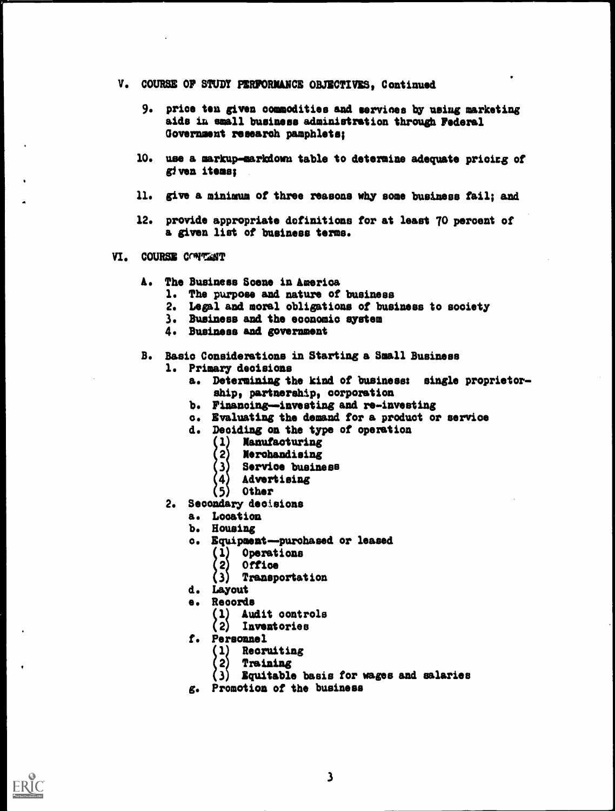- V. COURSE OF STUDY PERFORMANCE OBJECTIVES, Continued
	- 9. price ten given commodities and services by using marketing aids in small business administration through Federal Government research pamphlets;
	- 10. use a markup-markdown table to determine adequate prioirg of given items;
	- 11. give a minimum of three reasons why some business fail; and
	- 12. provide appropriate definitions for at least 70 percent of a given list of business terms.
- VI. COURSE COMMENT
	- A. The Business Scene in America
		- 1. The purpose and nature of business
		- 2. Legal and moral obligations of business to society
		- 3. Business and the economic system
		- 4. Business and government
	- B. Basic Considerations in Starting a Small Business
		- 1. Primary decisions
			- a. Determining the kind of business: single proprietorship, partnership, corporation
			- b. Financing-investing and re-investing
			- c. Evaluating the demand for a product or service
			- d. Deciding on the type of operation
				- (1) Manufacturing
				- $\langle 2 \rangle$  Merchandising
				- 3) Service business
				- 4) Advertising
				- $(5)$  Other
		- 2. Secondary decisions
			- a. Location
			- b. Housing
			- o. Equipment purchased or leased
				- (1) Operations
				- (2) Office
				- (2) OF**Tice**<br>(3) T**ransportation**<br>Lavout
			- d. Layout
			- e. Records
				- (1) Audit controls
				- (2) Inventories
			- f. Personnel
				- (1) Recruiting
				- (2) Training
				- (2) Training<br>(3) Equitable basis for wages and salaries<br>Becaption of the business
			- g. Promotion of the business

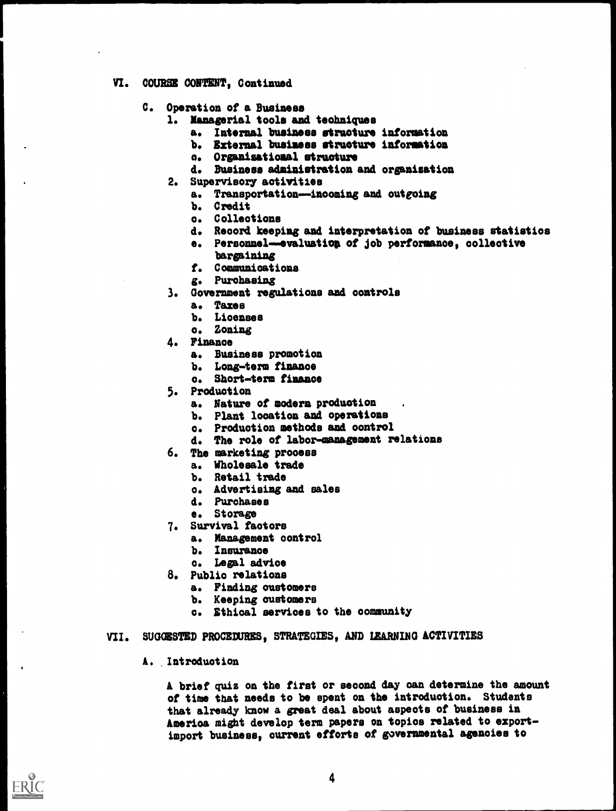- VI. COURSE CONTENT, Continued
	- C. Operation of a Business
		- 1. Managerial tools and techniques
			- a. Internal business structure information
			- b. External business structure information
			- a. Organisational structure
			- d. Business administration and organisation
		- 2. Supervisory activities
			- a. Transportation--inooming and outgoing
			- b. Credit
			- o. Collections
			- d. Record keeping and interpretation of business statistics
			- e. Personnel-evaluation of job performance, collective bargaining
			- f. Communications
			- g. Purchasing
		- 3. Government regulations and controls
			- a. Taxes
			- b. Licenses
			- o. Zoning
		- 4. Finance
			- a. Business promotion
			- b. Long-term finance
			- o. Short-term finance
		- 5. Production
			- a. Nature of modern production
			- b. Plant location and operations
			- o. Production methods and oontrol
			- d. The role of labor-management relations
		- 6. The marketing prooess
			- a. Wholesale trade
			- b. Retail trade
			- o. Advertising and sales
			- d. Purchases
			- e. Storage
		- 7. Survival factors
			- a. Management control
				- b. Insurance
			- o. Legal advice
		- 8. Public relations
			- a. Finding oustomere
			- b. Keeping customers
			- o. Ethical services to the community

#### VII. SUGGESTED PROCEDURES, STRATEGIES, AND LEARNING ACTIVITIES

### A. Introduction

A brief quiz on the first or second day can determine the amount of time that needs to be spent on the introduction. Students that already know a great deal about aspects of business in America might develop term papers on topics related to exportimport business, current efforts of governmental agencies to

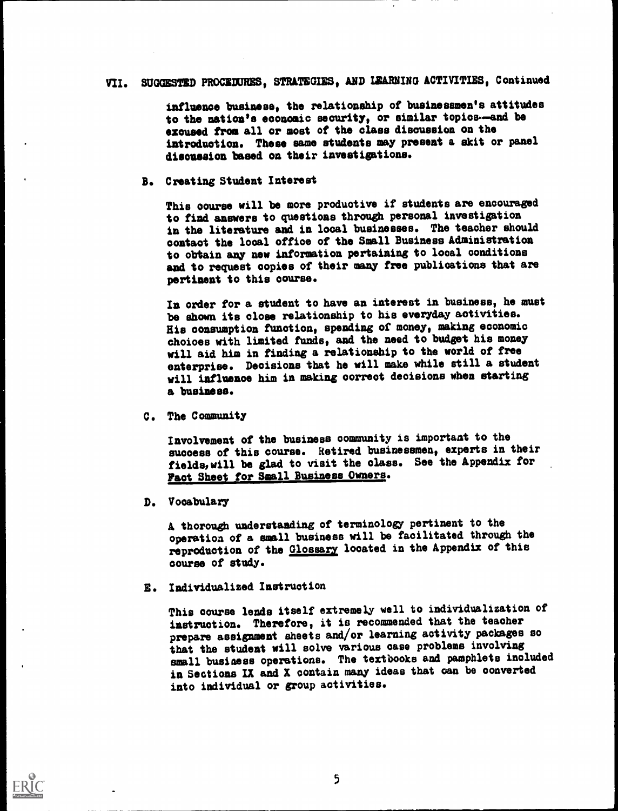# VII. SUGGESTED PROCEDURES, STRATEGIES, AND LEARNING ACTIVITIES, Continued

influence business, the relationship of businessmen's attitudes to the nation's economic security, or similar topics-and be excused from all or most of the class discussion on the introduction. These same students may present a skit or panel discussion based on their investigations.

#### B. Creating Student Interest

This course will be more productive if students are encouraged to find answers to questions through personal investigation in the literature and in local businesses. The teacher should contact the local office of the Small Business Administration to obtain any new information pertaining to local conditions and to request copies of their many free publications that are pertinent to this course.

In order for a student to have an interest in business, he must be shown its close relationship to his everyday activities. His consumption function, spending of money, making economic choices with limited funds, and the need to budget his money will aid him in finding a relationship to the world of free enterprise. Decisions that he will make while still a student will influence him in making correct decisions when starting a business.

C. The Community

Involvement of the business community is important to the success of this course. Retired businessmen, experts in their fields, will be glad to visit the class. See the Appendix for Pact Sheet for Small Business Owners.

D. Vocabulary

A thorough understanding of terminology pertinent to the operation of a small business will be facilitated through the reproduction of the Glossary located in the Appendix of this course of study.

E. Individualized Instruction

This course lends itself extremely well to individualization of instruction. Therefore, it is recommended that the teacher prepare assignment sheets and/or learning activity packages so that the student will solve various case problems involving small business operations. The textbooks and pamphlets included in Sections IX and X contain many ideas that can be converted into individual or group activities.

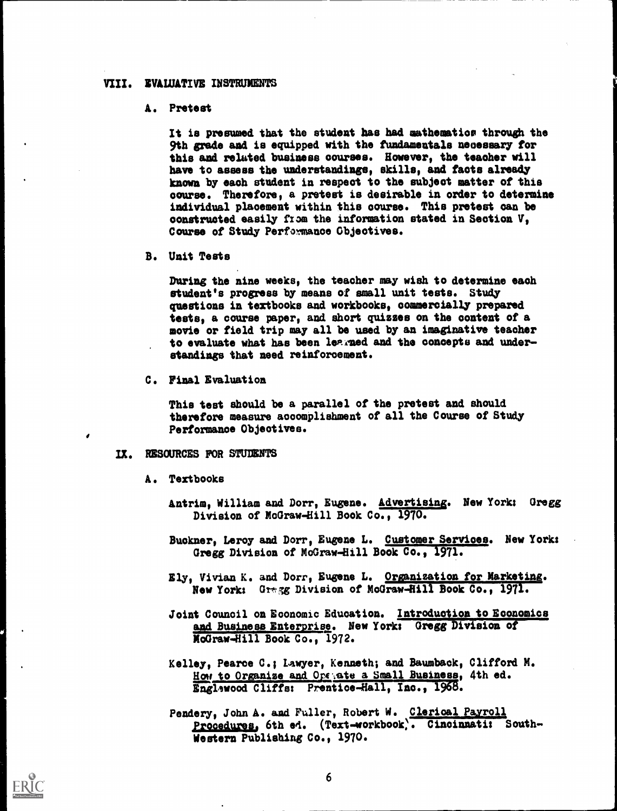#### VIII. EVALUATIVE INSTRUMENTS

#### A. Pretest

It is presumed that the student has had mathematior through the 9th grade and is equipped with the fundamentals necessary for this and related business courses. However, the teaoher will have to assess the understandings, skills, and facts already known by eaoh student in respect to the subject matter of this course. Therefore, a pretest is desirable in order to determine individual placement within this course. This pretest can be constructed easily from the information stated in Section V, Course of Study Performance Objectives.

B. Unit Tests

During the nine weeks, the teacher may wish to determine each student's progress by means of small unit tests. Study questions in textbooks and workbooks, commercially prepared tests, a course paper, and short quizzes on the content of a movie or field trip may all be used by an imaginative teacher to evaluate what has been learned and the concepts and understandings that need reinforcement.

C. Final Evaluation

This test should be a parallel of the pretest and should therefore measure accomplishment of all the Course of Study Performance Objectives.

#### IX. RESOURCES FOR STUDENTS

- A. Textbooks
	- Antrim, William and Dorr, Eugene. Advertising. New York: Gregg Division of McGraw-Hill Book Co., 1970.
	- Buckner, Leroy and Dorr, Eugene L. Customer Services. New Yorks Gregg Division of McGraw-Hill Book Co., 1971.
	- Ely, Vivian K. and Dorr, Eugene L. Organization for Marketing. New York: Gregg Division of McGraw-Hill Book Co., 1971.
	- Joint Council on Economic Education. Introduction to Economics and Business Enterprise. New York: Gregg Division of McGraw-Hill Book Co., 1972.
	- Kelley, Pearce C.; Lawyer, Kenneth; and Baumbaok, Clifford M. How to Organize and Opeyate a Small Business, 4th ed. Englewood Cliffs: Prentioe-Hall, Inc., 1968.
	- Pendery, John A. and Fuller, Robert W. Clerical Payroll procedures, 6th e4. (Text-workbook;. Cincinnati: South-Western Publishing Co., 1970.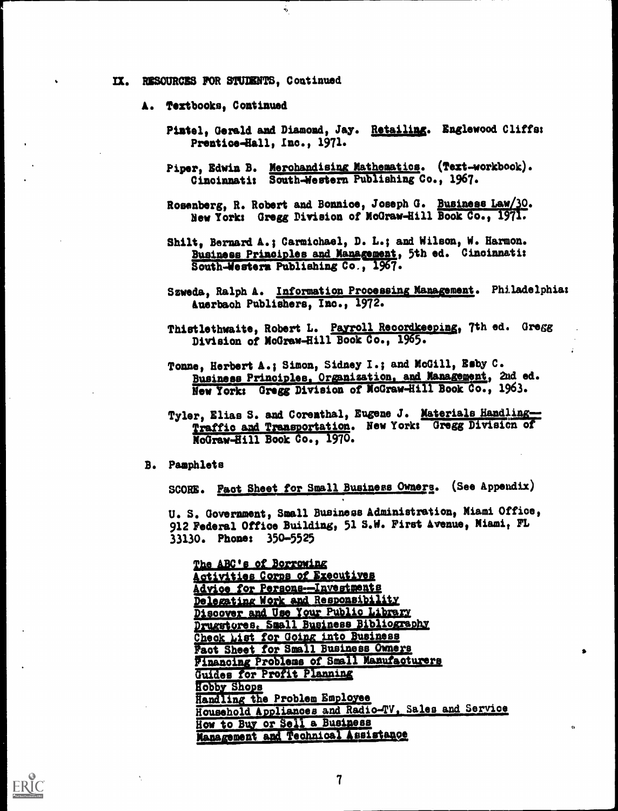IX. RESOURCES FOR STUDENTS, Continued

 $\mathbf{e}$ 

- A. Textbooks, Continued
	- Pintel, Gerald and Diamond, Jay. Retailing. Englewood Cliffs: Prentice-Hall, Inc., 1971.
	- Piper, Edwin B. Merchandising Mathematics. (Text-workbook). Cincinnati: South-Western Publishing Co., 1967.
	- Rosenberg, R. Robert and Bonnice, Joseph G. Business Law/30. New York: Gregg Division of McGraw-Hill Book Co., 1971.
	- Shilt, Bernard A.; Carmichael, D. L.; and Wilson, W. Harmon. Business Principles and Management, 5th ed. Cincinnati: South-Western Publishing Co., 1967.
	- Szweda, Ralph A. Information Processing Management. Philadelphia: Auerbach Publishers, Inc., 1972.
	- Thistlethwaite, Robert L. Payroll Recordkeeping, 7th ed. Gregg Division of McGraw-Hill Book Co., 1965.
	- Tonne, Herbert A.; Simon, Sidney I.; and McGill, Esby C. Business Principles, Organization, and Management, 2nd ed. New York: Gregg Division of McGraw-Hill Book Co., 1963.
	- Tyler, Elias S. and Corenthal, Eugene J. Materials Handling-Traffic and Transportation. New York: Gregg Division of McGraw-Hill Book Co., 1970.
- **B.** Pamphlets

SCORE. Fact Sheet for Small Business Owners. (See Appendix)

U. S. Government, Small Business Administration, Miami Office, 912 Federal Office Building, 51 S.W. First Avenue, Miami, FL 33130. Phone: 350-5525

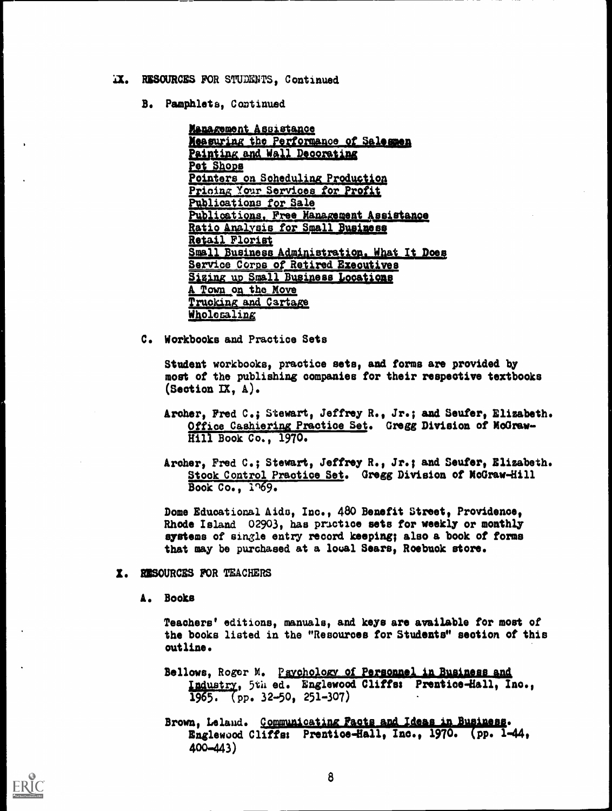- IX. RESOURCES FOR STUDENTS. Continued
	- B. Pamphlets, Continued

Management Assistance Measuring the Performance of Salesmen Painting and Wall Decorating Pet Shops Pointers on Scheduling Production Pricing Your Services for Profit Publications for Sale Publications, Free Management Assistance Ratio Analysis for Small Business Retail Florist Small Business Administration. What It Does Service Corps of Retired Executives Sizing up Small Business Locations A Town on the Move Trucking and Cartage Wholesaling

C. Workbooks and Practice Sets

Student workbooks, practice sets, and forms are provided by most of the publishing companies for their respective textbooks  $(Section$  IX,  $A)$ .

Archer, Fred C.; Stewart, Jeffrey R., Jr.; and Seufer, Elizabeth. Office Cashiering Practice Set. Gregg Division of MoGraw-Hill Book Co., 1970.

Archer, Fred C.; Stewart, Jeffrey R., Jr.; and Seufer, Elizabeth. Stock Control Practice Set. Gregg Division of McGraw-Hill Book Co., 1769.

Dome Educational Aids, Inc., 480 Benefit Street, Providence. Rhode Island 02903, has prictice sets for weekly or monthly systems of single entry record keeping; also a book of forms that may be purchased at a local Sears, Roebuck store.

- I. RESOURCES FOR TEACHERS
	- A. Books

Teachers' editions, manuals, and keys are available for most of the books listed in the "Resources for Students" section of this outline.

Bellows, Roger M. Paychology of Personnel in Business and Industry, 5th ed. Englewood Cliffs: Prentice-Hall, Ino.,  $1965.$  (pp. 32-50, 251-307)

Brown, Leland. Communicating Facts and Ideas in Business. Englewood Cliffs: Prentice-Hall, Inc., 1970. (pp. 1-44,  $400 - 443$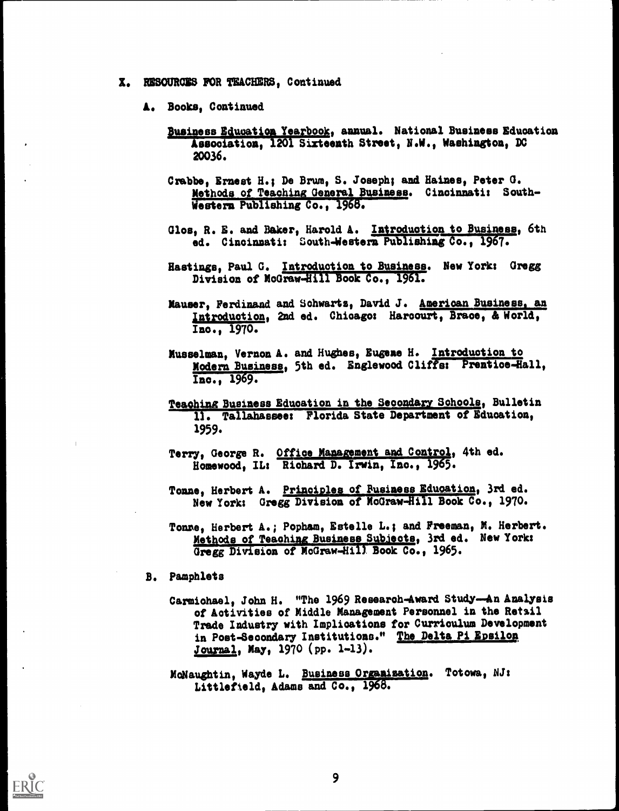- X. RESOURCES FOR TEACHERS, Continued
	- A. Books, Continued
		- Business Education Yearbook, annual. National Business Education Association, 1201 Sixteenth Street, N.W., Washington, DC 20036.
		- Crabbe, Ernest H.; De Brum, S. Joseph; and Haines, Peter G. Methods of Teaching General Business. Cincinnati: South-Western Publishing Co., 1968.
		- Glos, R. E. and Baker, Harold A. Introduction to Business, 6th ed. Cincinnati: South-Western Publishing Co., 1967.
		- Hastings, Paul G. Introduction to Business. New York: Gregg Division of McGraw-Hill Book Co., 1961.
		- Mauser, Ferdinand and Schwartz, David J. American Business an Introduction, 2nd ed. Chicago: Harcourt, Brace, & World, Inc., 1970.
		- Musselman, Vernon A. and Hughes, Eugene H. Introduction to Modern Business, 5th ed. Englewood Cliffs: Prentice-Hall, Inc., 1969.
		- Teaching Business Education in the Secondary Schools, Bulletin 11. Tallahassee: Florida State Department of Education, 1959.
		- Terry, George R. Office Management and Control, 4th ed. Homewood, IL: Richard D. Irwin, Inc., 1965.
		- Tonne, Herbert A. Principles of Rusiness Education, 3rd ed. New York: Gregg Division of McGraw-Hill Book Co., 1970.
		- Tome, Herbert A.; Popham, Estelle L.; and Freeman, M. Herbert. Methods of Teaching Business Subjects, 3rd ed. New York: Gregg Division of McGraw-Hill Book Co., 1965.
	- B. Pamphlets
		- Carmichael, John H. "The 1969 Research-Award Study-An Analysis of Activities of Middle Management Personnel in the Retail Trade Industry with Implications for Curriculum Development in Post-Secondary Institutions." The Delta Pi Epsilon Journal, May, 1970 (pp. 1-13).
		- MoNaughtin, Wayde L. Business Organization. Totowa, NJ: Littlefield, Adams and Co., 1968.

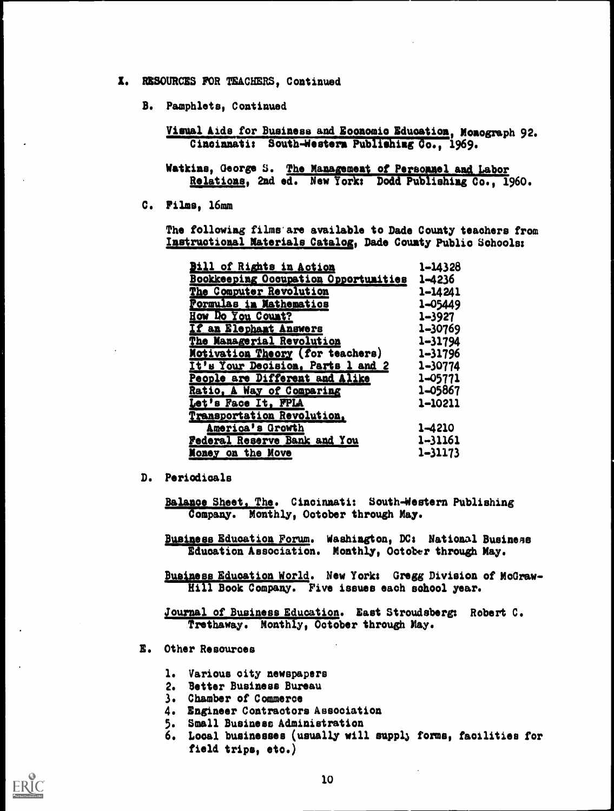- I. RESOURCES FOR TEACHERS, Continued
	- B. Pamphlets, Continued

Visual Aids for Business and Economic Education, Monograph 92. Cincinnati: South-Western Publishing Co., 1969.

Watkins, George S. The Management of Personnel and Labor Relations, 2nd ed. New York: Dodd Publishing Co., 1960.

C. Films, 16mm

The following films are available to Dade County teachers from Instructional Materials Catalog, Dade County Public Schools:

| <b>Bill of Rights in Action</b>             | 1-14328     |
|---------------------------------------------|-------------|
| <b>Bookkeeping Occupation Opportunities</b> | 1–4236      |
| The Computer Revolution                     | 1-14241     |
| <b>Pormulas in Mathematics</b>              | 1-05449     |
| How Do You Count?                           | 1–3927      |
| If an Elephant Answers                      | 1-30769     |
| The Managerial Revolution                   | $1 - 31794$ |
| Motivation Theory (for teachers)            | $1 - 31796$ |
| It's Your Decision, Parts 1 and 2           | 1-30774     |
| People are Different and Alike              | $1 - 05771$ |
| Ratio, A Way of Comparing                   | 1-05867     |
| Let's Face It, FPLA                         | 1-10211     |
| Transportation Revolution,                  |             |
| America's Growth                            | 1-4210      |
| Federal Reserve Bank and You                | 1-31161     |
| Money on the Move                           | 1–31173     |

D. Periodicals

Balance Sheet, The. Cincinnati: South-Western Publishing Company. Monthly, October through May.

Business Education Forum. Washington, DC: National Business Education Association. Monthly, October through May.

Business Education World. New York: Gregg Division of McGraw-Hill Book Company. Five issues each school year.

Journal of Business Education. East Stroudsberg: Robert C. Trethaway. Monthly, October through May.

- E. Other Resources
	- 1. Various city newspapers
	- 2. Better Business Bureau
	- 3. Chamber of Commerce
	- 4. Engineer Contractors Association
	- 5. Small Business Administration
	- 6. Local businesses (usually will supply forms, facilities for field trips, etc.)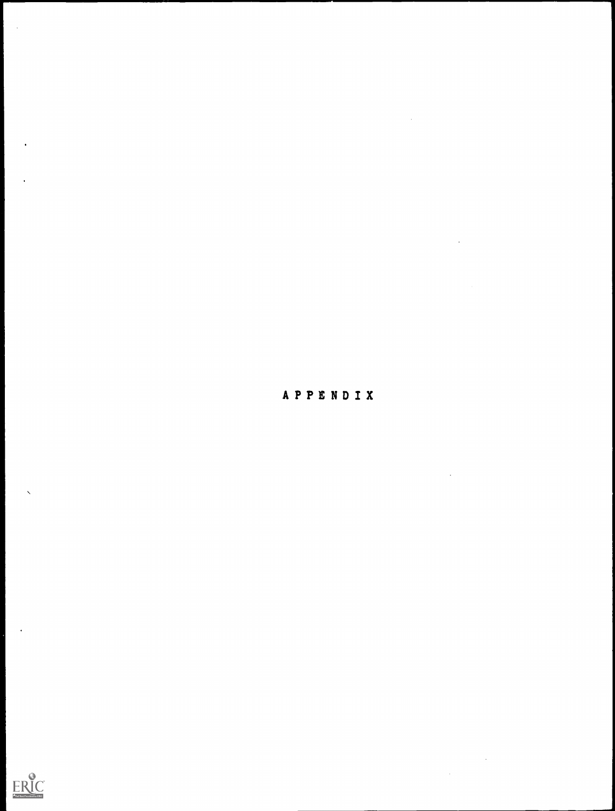

 $\label{eq:2.1} \frac{1}{\sqrt{2}}\left(\frac{1}{\sqrt{2}}\right)^{2} \left(\frac{1}{\sqrt{2}}\right)^{2} \left(\frac{1}{\sqrt{2}}\right)^{2} \left(\frac{1}{\sqrt{2}}\right)^{2} \left(\frac{1}{\sqrt{2}}\right)^{2} \left(\frac{1}{\sqrt{2}}\right)^{2} \left(\frac{1}{\sqrt{2}}\right)^{2} \left(\frac{1}{\sqrt{2}}\right)^{2} \left(\frac{1}{\sqrt{2}}\right)^{2} \left(\frac{1}{\sqrt{2}}\right)^{2} \left(\frac{1}{\sqrt{2}}\right)^{2} \left(\$ 

 $\hat{\mathcal{L}}$ 

 $\sim$ 

 $\label{eq:2} \frac{1}{\sqrt{2}}\left(\frac{1}{\sqrt{2}}\right)^{2} \frac{1}{\sqrt{2}}\left(\frac{1}{\sqrt{2}}\right)^{2}$ 

 $\frac{1}{2}$ 



 $\bar{\mathbf{v}}$ 

 $\ddot{\phantom{1}}$ 

 $\sim$   $\sim$ 

 $\hat{\mathbf{r}}$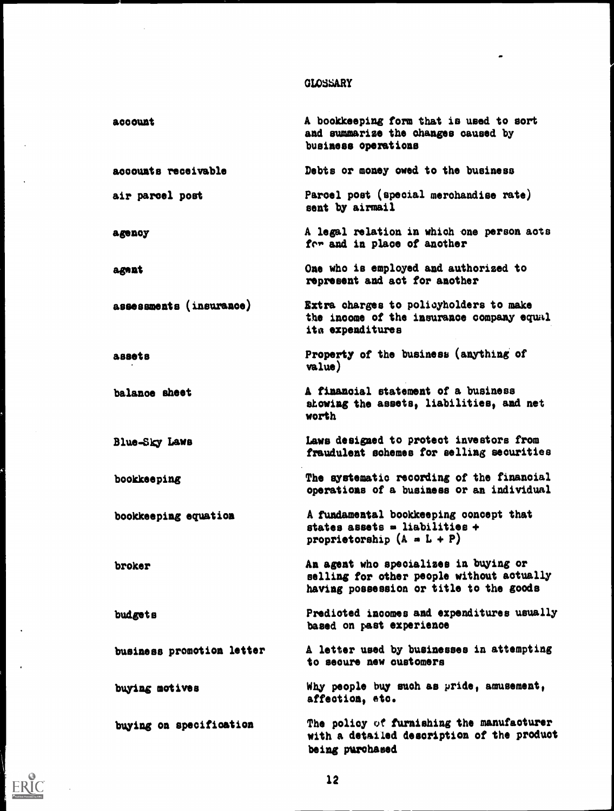# GLOSSARY

 $\bullet$ 

 $\sim$ 

 $\hat{\mathcal{A}}$ 

 $\langle \cdot \rangle$ 

 $\ddot{\phantom{a}}$ 

 $\hat{\mathbf{r}}$ 

 $\sum_{\mathcal{A}_{\text{full Fact}}} \prod_{\text{Fact the total key EBC}}$ 

 $\sim$  .

| account                   | A bookkeeping form that is used to sort<br>and summarize the changes caused by<br>business operations                         |
|---------------------------|-------------------------------------------------------------------------------------------------------------------------------|
| accounts receivable       | Debts or money owed to the business                                                                                           |
| air parcel post           | Parcel post (special merchandise rate)<br>sent by airmail                                                                     |
| agency                    | A legal relation in which one person acts<br>for and in place of another                                                      |
| agnat                     | One who is employed and authorized to<br>represent and act for another                                                        |
| assessments (insurance)   | Extra charges to policyholders to make<br>the income of the insurance company equal<br>ita expenditures                       |
| assets                    | Property of the business (anything of<br>value)                                                                               |
| balance sheet             | A financial statement of a business<br>showing the assets, liabilities, and net<br>worth                                      |
| Blue-Sky Laws             | Laws designed to protect investors from<br>fraudulent schemes for selling securities                                          |
| bookkeeping               | The systematic recording of the financial<br>operations of a business or an individual                                        |
| bookkeeping equation      | A fundamental bookkeeping concept that<br>states assets = liabilities +<br>proprietorship $(A = L + P)$                       |
| broker                    | An agent who specializes in buying or<br>selling for other people without actually<br>having possession or title to the goods |
| budgets                   | Predicted incomes and expenditures usually<br>based on past experience                                                        |
| business promotion letter | A letter used by businesses in attempting<br>to secure new customers                                                          |
| buying motives            | Why people buy such as pride, amusement,<br>affection, etc.                                                                   |
| buying on specification   | The policy of furnishing the manufacturer<br>with a detailed description of the product<br>being purchased                    |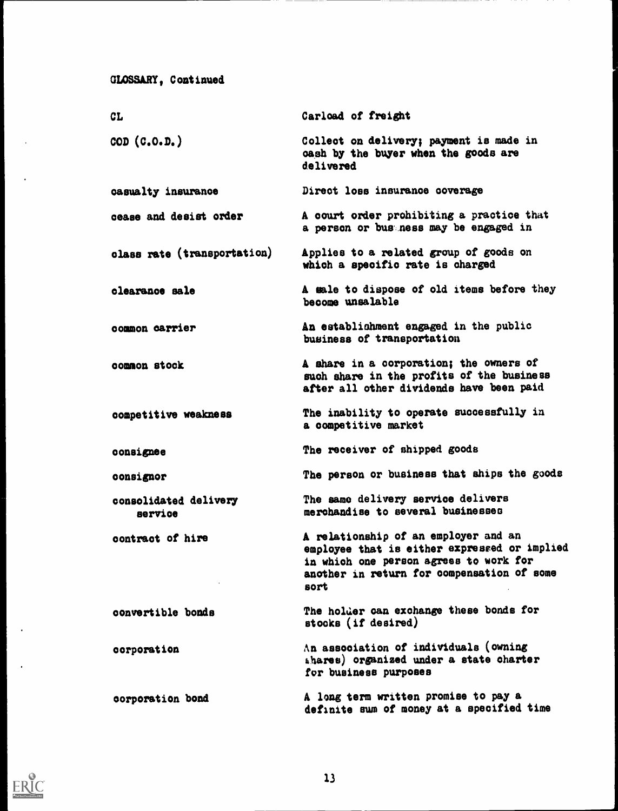```
GLOSSARY, Continued
```

| <b>CL</b>                          | Carload of freight                                                                                                                                                                   |
|------------------------------------|--------------------------------------------------------------------------------------------------------------------------------------------------------------------------------------|
| $\texttt{COD}$ $(\texttt{C.O.D.})$ | Collect on delivery; payment is made in<br>cash by the buyer when the goods are<br>delivered                                                                                         |
| casualty insurance                 | Direct loss insurance coverage                                                                                                                                                       |
| cease and desist order             | A court order prohibiting a practice that<br>a person or bus ness may be engaged in                                                                                                  |
| class rate (transportation)        | Applies to a related group of goods on<br>which a specific rate is charged                                                                                                           |
| clearance sale                     | A sale to dispose of old items before they<br>become unsalable                                                                                                                       |
| common carrier                     | An establishment engaged in the public<br>business of transportation                                                                                                                 |
| common stock                       | A share in a corporation; the owners of<br>such share in the profits of the business<br>after all other dividends have been paid                                                     |
| competitive weakness               | The inability to operate successfully in<br>a competitive market                                                                                                                     |
| consignee                          | The receiver of shipped goods                                                                                                                                                        |
| consignor                          | The person or business that ships the goods                                                                                                                                          |
| consolidated delivery<br>service   | The same delivery service delivers<br>merchandise to several businesses                                                                                                              |
| contract of hire                   | A relationship of an employer and an<br>employee that is either expressed or implied<br>in which one person agrees to work for<br>another in return for compensation of some<br>sort |
| convertible bonds                  | The holder can exchange these bonds for<br>stocks (if desired)                                                                                                                       |
| corporation                        | An association of individuals (owning<br>ahares) organized under a state charter<br>for business purposes                                                                            |
| corporation bond                   | A long term written promise to pay a<br>definite sum of money at a specified time                                                                                                    |



 $\ddot{\phantom{a}}$ 

 $\ddot{\phantom{a}}$ 

 $\ddot{\phantom{0}}$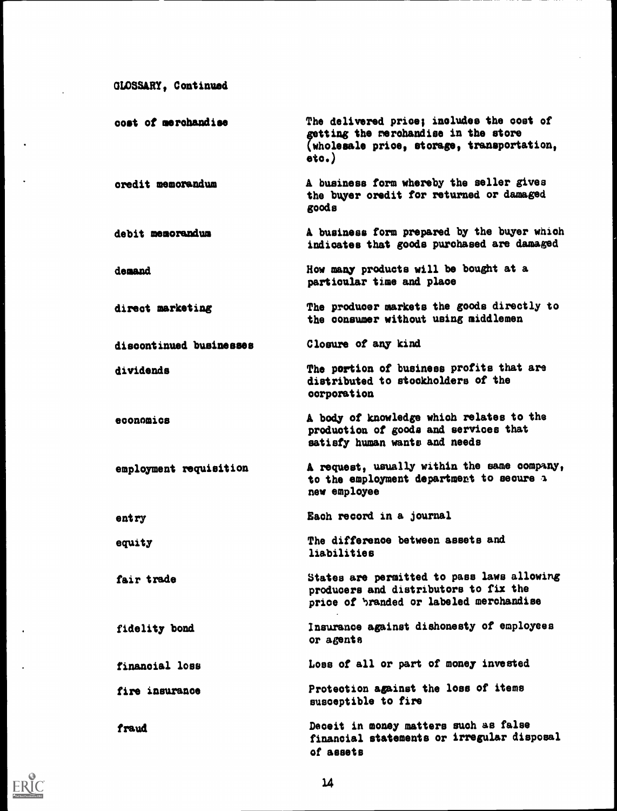```
GLOSSARY, Continued
```
 $\mathcal{L}_{\text{in}}$ 

 $\ddot{\phantom{0}}$ 

 $\ddot{\phantom{a}}$ 

| cost of merchandise     | The delivered price; includes the cost of<br>getting the merchandise in the store<br>(wholesale price, storage, transportation,<br>$\circ \circ \cdot$ |
|-------------------------|--------------------------------------------------------------------------------------------------------------------------------------------------------|
| oredit memorandum       | A business form whereby the seller gives<br>the buyer oredit for returned or damaged<br>goods                                                          |
| debit memorandum        | A business form prepared by the buyer which<br>indicates that goods purchased are damaged                                                              |
| demand                  | How many products will be bought at a<br>particular time and place                                                                                     |
| direct marketing        | The producer markets the goods directly to<br>the consumer without using middlemen                                                                     |
| discontinued businesses | Closure of any kind                                                                                                                                    |
| dividends               | The portion of business profits that are<br>distributed to stockholders of the<br>corporation                                                          |
| economics               | A body of knowledge which relates to the<br>production of goods and services that<br>satisfy human wants and needs                                     |
| employment requisition  | A request, usually within the same company,<br>to the employment department to secure a<br>new employee                                                |
| entry                   | Each record in a journal                                                                                                                               |
| equity                  | The difference between assets and<br>liabilities                                                                                                       |
| fair trade              | States are permitted to pass laws allowing<br>producers and distributors to fix the<br>price of branded or labeled merchandise                         |
| fidelity bond           | Insurance against dishonesty of employees<br>or agents                                                                                                 |
| financial loss          | Loss of all or part of money invested                                                                                                                  |
| fire insurance          | Protection against the loss of items<br>susceptible to fire                                                                                            |
| fraud                   | Deceit in money matters such as false<br>financial statements or irregular disposal<br>of assets                                                       |



 $\mathcal{A}$ 

 $\hat{\mathbf{r}}$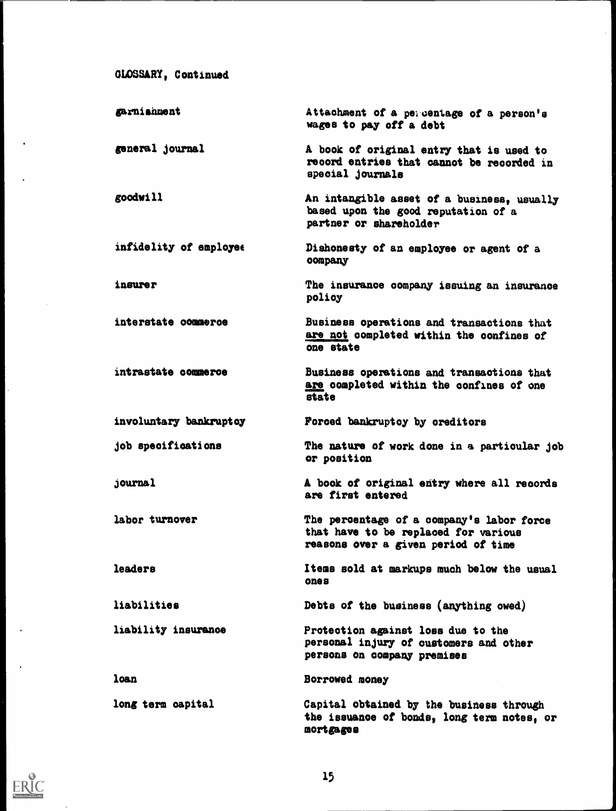```
GLOSSARY, Continued
```
garnistment general journal goodwill infidelity of employee insurer interstate oommeroe intrastate commerce Attachment of a percentage of a person's wages to pay off a debt A book of original entry that is used to record entries that cannot be recorded in special journals An intangible asset of a business, usually based upon the good reputation of a partner or shareholder Dishonesty of an employee or agent of a company The insurance company issuing an insurance policy Business operations and transactions that are not completed within the confines of one state Business operations and transactions that are completed within the confines of one state involuntary bankruptcy Forced bankruptcy by creditors job specifications journal labor turnover The nature of work done in a particular job or position A book of original entry where all records are first entered The percentage of a company's labor force that have to be replaced for various reasons over a given period of time leaders Items sold at markups much below the usual ones liabilities Debts of the business (anything owed) liability insurance Protection against loss due to the personal injury of customers and other persons on company premises loan Borrowed money long term capital Capital obtained by the business through the issuance of bonds, long term notes, or mortgages

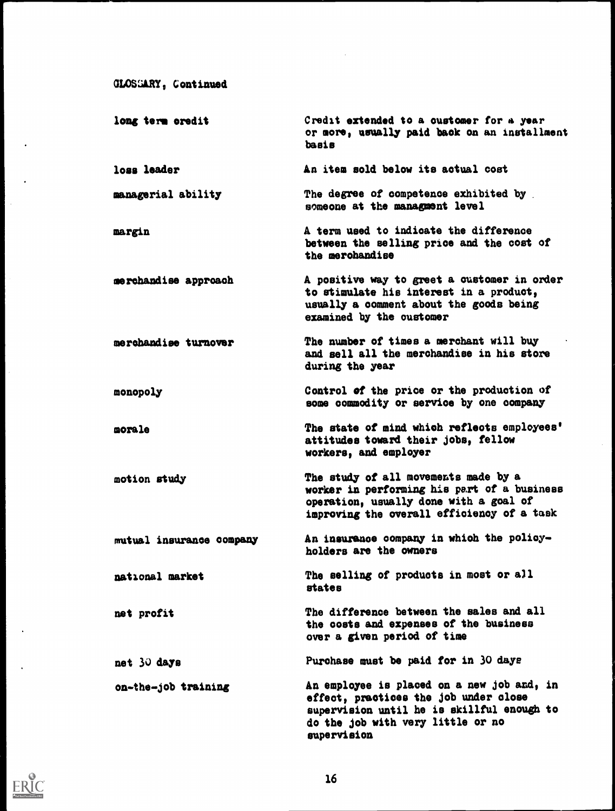```
GLOSGARY, Continued
```

| long term oredit         | Credit extended to a customer for a year<br>or more, usually paid back on an installment<br>basis                                                                                     |
|--------------------------|---------------------------------------------------------------------------------------------------------------------------------------------------------------------------------------|
| loss leader              | An item sold below its actual cost                                                                                                                                                    |
| managerial ability       | The degree of competence exhibited by<br>someone at the managment level                                                                                                               |
| margin                   | A term used to indicate the difference<br>between the selling price and the cost of<br>the merohandise                                                                                |
| merchandise approach     | A positive way to greet a customer in order<br>to stimulate his interest in a product,<br>usually a comment about the goods being<br>examined by the customer                         |
| merchandise turnover     | The number of times a merchant will buy<br>and sell all the merchandise in his store<br>during the year                                                                               |
| monopoly                 | Control of the price or the production of<br>some commodity or service by one company                                                                                                 |
| morale                   | The state of mind which reflects employees'<br>attitudes toward their jobs, fellow<br>workers, and employer                                                                           |
| motion study             | The study of all movements made by a<br>worker in performing his part of a business<br>operation, usually done with a goal of<br>improving the overall efficiency of a task           |
| mutual insurance company | An insurance company in which the policy-<br>holders are the owners                                                                                                                   |
| national market          | The selling of products in most or all<br>states                                                                                                                                      |
| net profit               | The difference between the sales and all<br>the costs and expenses of the business<br>over a given period of time                                                                     |
| net 30 days              | Purchase must be paid for in 30 days                                                                                                                                                  |
| on-the-job training      | An employee is placed on a new job and, in<br>effect, practices the job under close<br>supervision until he is skillful enough to<br>do the job with very little or no<br>supervision |



 $\ddot{\phantom{a}}$ 

 $\ddot{\phantom{a}}$ 

 $\overline{\phantom{a}}$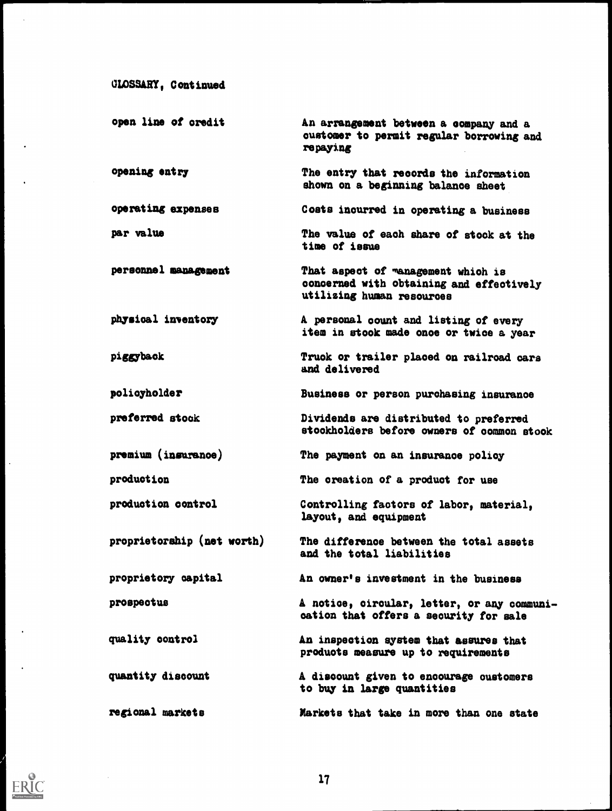```
GLOSSARY, Continued
```
open line of credit opening entry operating expenses par value personnel management physical inventory piggyback policyholder preferred stock premium (insurance) production production control proprietorship (net worth) proprietory capital prospectus quality control quantity discount regional markets An arrangement between a eompany and a customer to permit regular borrowing and repaying The entry that records the information shown on a beginning balance sheet Costs incurred in operating a business The value of each share of stock at the time of issue That aspect of management which is concerned with obtaining and effectively utilizing human resources A personal count and listing of every item in stook made once or twice a year Truck or trailer placed on railroad cars and delivered Business or person purchasing insurance Dividends are distributed to preferred stockholders before owners of common stook The payment on an insurance policy The creation of a product for use Controlling factors of labor, material, layout, and equipment The difference between the total assets and the total liabilities An owner's investment in the business A notice, circular, letter, or any communication that offers a security for sale An inspection system that assures that products measure up to requirements A discount given to encourage oustomers to buy in large quantities Markets that take in more than one state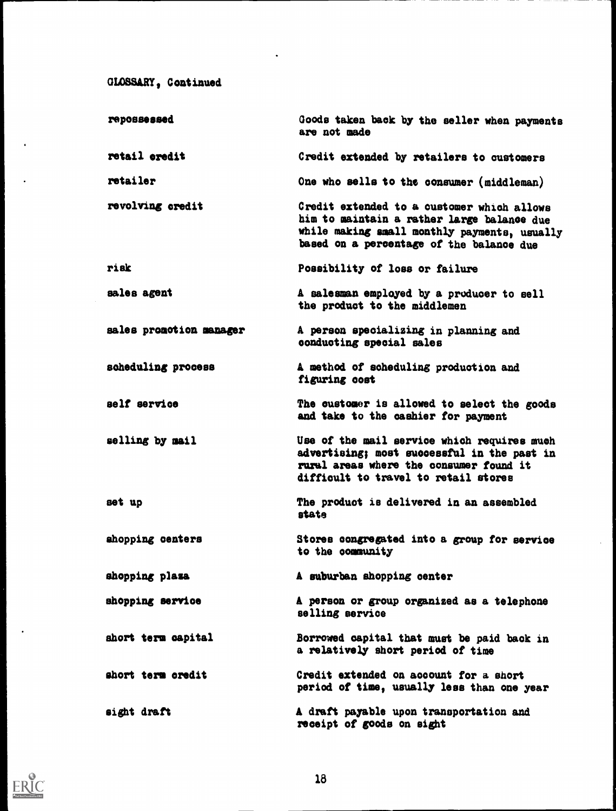GLOSSARY, Continued

| repossessed             | Goods taken back by the seller when payments<br>are not made                                                                                                                         |
|-------------------------|--------------------------------------------------------------------------------------------------------------------------------------------------------------------------------------|
| retail eredit           | Credit extended by retailers to customers                                                                                                                                            |
| retailer                | One who sells to the consumer (middleman)                                                                                                                                            |
| revolving credit        | Credit extended to a customer which allows<br>him to maintain a rather large balance due<br>while making small monthly payments, usually<br>based on a percentage of the balance due |
| risk                    | Possibility of loss or failure                                                                                                                                                       |
| sales agent             | A salesman employed by a producer to sell<br>the product to the middlemen                                                                                                            |
| sales promotion manager | A person specializing in planning and<br>conducting special sales                                                                                                                    |
| scheduling process      | A method of scheduling production and<br>figuring cost                                                                                                                               |
| self service            | The oustomer is allowed to select the goods<br>and take to the cashier for payment                                                                                                   |
| selling by mail         | Use of the mail service which requires much<br>advertising; most successful in the past in<br>rural areas where the consumer found it<br>difficult to travel to retail stores        |
| set up                  | The product is delivered in an assembled<br>BTATO                                                                                                                                    |
| shopping centers        | Stores congregated into a group for service<br>to the community                                                                                                                      |
| shopping plaza          | A suburban shopping center                                                                                                                                                           |
| shopping service        | A person or group organized as a telephone<br>selling service                                                                                                                        |
| short term capital      | Borrowed capital that must be paid back in<br>a relatively short period of time                                                                                                      |
| short term credit       | Credit extended on account for a short<br>period of time, usually less than one year                                                                                                 |
| sight draft             | A draft payable upon transportation and<br>receipt of goods on sight                                                                                                                 |

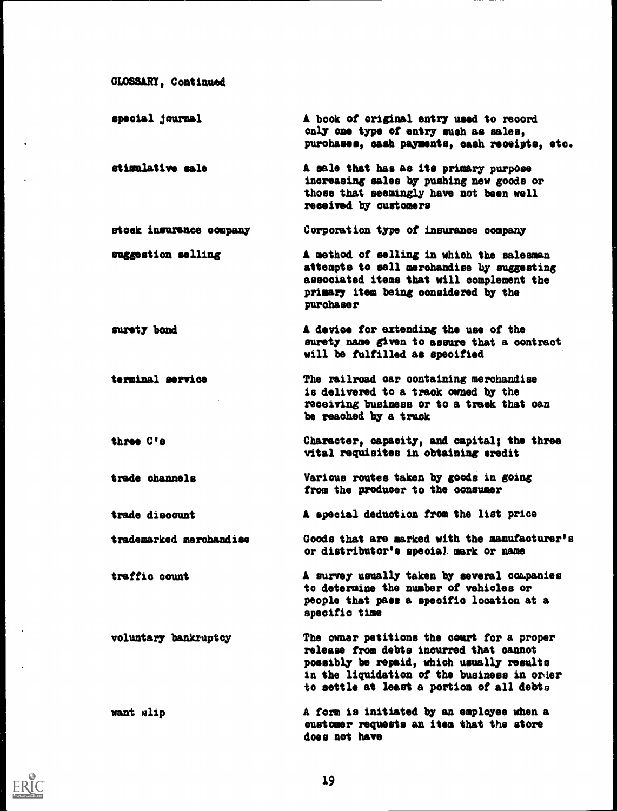```
GLOSSARY, Continued
```
 $\ddot{\phantom{a}}$ 

 $\ddot{\phantom{a}}$ 

 $\ddot{\phantom{a}}$ 

 $\ddot{\phantom{0}}$ 

ERIC

| special journal         | A book of original entry used to record<br>only one type of entry such as sales,<br>purchases, cash payments, cash receipts, etc.                                                                                              |
|-------------------------|--------------------------------------------------------------------------------------------------------------------------------------------------------------------------------------------------------------------------------|
| stimulative sale        | A sale that has as its primary purpose<br>increasing sales by pushing new goods or<br>those that seemingly have not been well<br>received by customers                                                                         |
| stock insurance company | Corporation type of insurance company                                                                                                                                                                                          |
| suggestion selling      | A method of selling in which the salesman<br>attempts to sell merchandise by suggesting<br>associated items that will complement the<br>primary item being considered by the<br>purchaser                                      |
| surety bond             | A device for extending the use of the<br>surety name given to assure that a contract<br>will be fulfilled as specified                                                                                                         |
| terminal service        | The railroad car containing merchandise<br>is delivered to a track cwned by the<br>receiving business or to a track that can<br>be reached by a truck                                                                          |
| three C's               | Character, capacity, and capital; the three<br>vital requisites in obtaining credit                                                                                                                                            |
| trade channels          | Various routes taken by goods in going<br>from the producer to the consumer                                                                                                                                                    |
| trade discount          | A special deduction from the list price                                                                                                                                                                                        |
| trademarked merchandise | Goods that are marked with the manufacturer's<br>or distributor's special mark or name                                                                                                                                         |
| traffic count           | A survey usually taken by several companies<br>to determine the number of vehicles or<br>people that pass a specific location at a<br>specific time                                                                            |
| voluntary bankruptcy    | The owner petitions the court for a proper<br>release from debts incurred that cannot<br>possibly be repaid, which usually results<br>in the liquidation of the business in order<br>to settle at least a portion of all debts |
| want slip               | A form is initiated by an employee when a<br>eustomer requests an item that the store<br>does not have                                                                                                                         |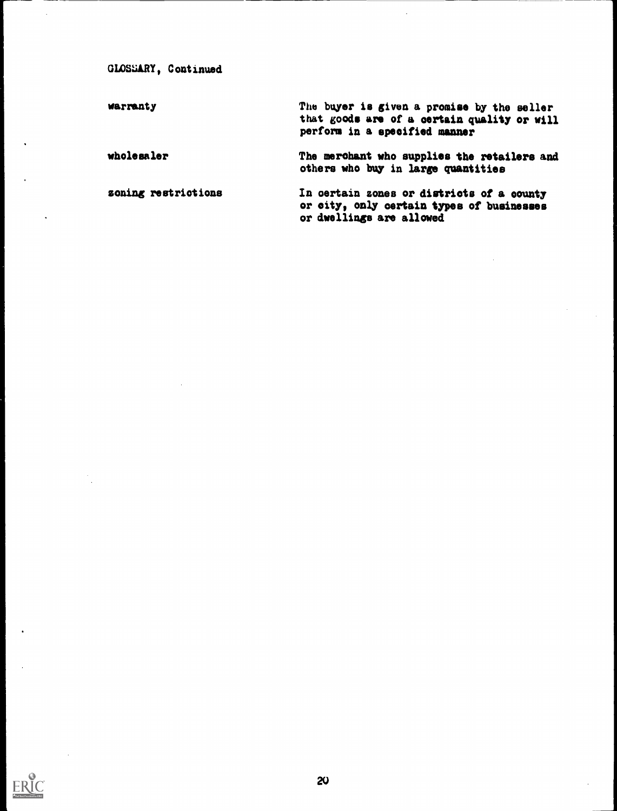GLOSSARY, Continued

warranty The buyer is given a promise by the seller that goods are of a certain quality or will perform in a specified manner

wholesaler The merchant who supplies the retailers and others who buy in large quantities

zoning restrictions In certain zones or districts of a county or city, only certain types of businesses or dwellings are allowed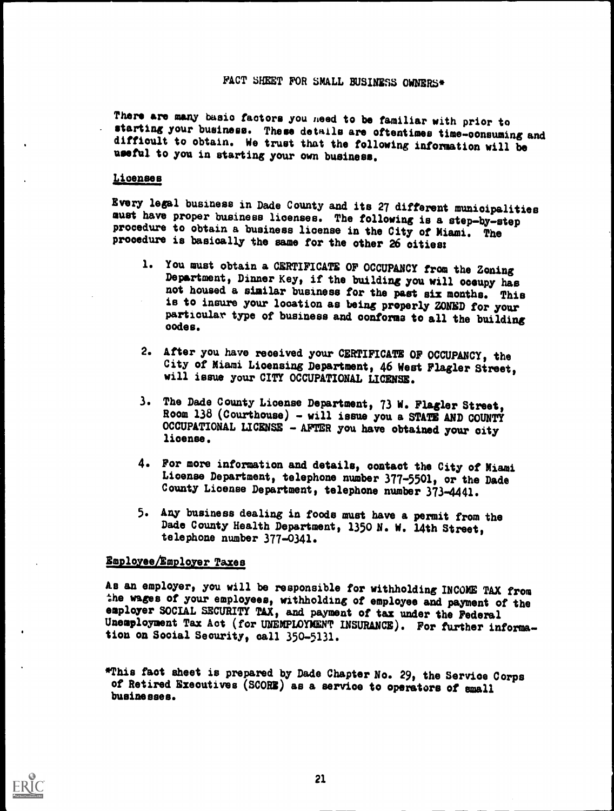There are many basic factors you need to be familiar with prior to<br>starting your business. These details are oftentimes time-consuming and difficult to obtain. We trust that the following information will be useful to you in starting your own business.

#### Licenses

Every legal business in Dade County and its 27 different municipalities must have proper business licenses. The following is a step-by-step procedure to obtain a business license in the City of Miami. The procedure is basically the same for the other 26 cities:

- 1. You must obtain a CERTIFICATE OF OCCUPANCY from the Zoning Department, Dinner Key, if the building you will oceupy has not housed a similar business for the past six months. This is to insure your location as being properly ZONED for your particular type of business and conforms to all the building nodes.
- 2. After you have received your CERTIFICATE OF OCCUPANCY, the City of Miami Licensing Department, 46 West Flagler Street, will issue your CITY OCCUPATIONAL LICENSE.
- 3. The Dade County License Department, 73 W. Flagler Street, Room 138 (Courthouse) - will issue you a STATE AND COUNTY OCCUPATIONAL LICENSE - AFTER you have obtained your city license.
- 4. For more information and details, contact the City of Miami License Department, telephone number 377-5501, or the Dade County License Department, telephone number 373-4441.
- 5. Any business dealing in foods must have a permit from the Dade County Health Department, 1350 N. W. 14th Street, telephone number 377-0341.

#### Employee/Employer Taxes

As an employer, you will be responsible for withholding INCOME TAX from the wages of your employees, withholding of employee and payment of the employer SOCIAL SECURITY TAX, and payment of tax under the Federal Unemployment Tax Act (for UNEMPLOYMENT INSURANCE). For further information on Social Security, call 350-5131.

This faot sheet is prepared by Dade Chapter No. 29, the Service Corps of Retired Executives (SCORE) as a service to operators of small businesses.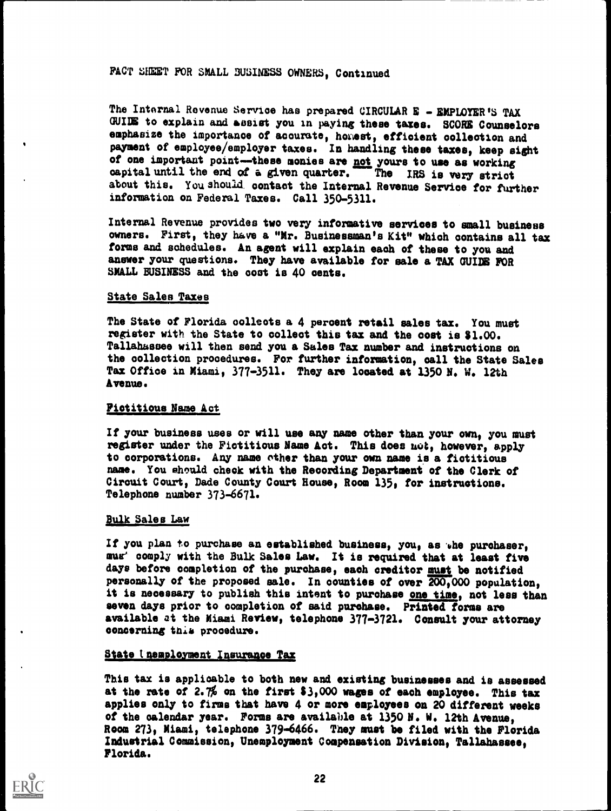### FACT SHEET FOR SMALL BUSINESS OWNERS, Continued

The Internal Revenue Service has prepared CIRCULAR E - EMPLOYER'S TAX GUIDE to explain and assist you in paying these taxes. SCORE Counselors emphasize the importance of accurate, honest, efficient collection and payment of employee/employer taxes. In handling these taxes, keep sight of one important point--these monies are not yours to use as working capital until the end of a given quarter. The IRS is very strict capital until the end of a given quarter. The IRS is very strict about this. You should contact the Internal Revenue Service for further information on Federal Taxes. Call 350-5311.

Internal Revenue provides two very informative services to small business owners. First, they have a "Mr. Businessman's Kit" which contains all tax forms and schedules. An agent will explain each of these to you and answer your questions. They have available for sale a TAX GUIDE FOR SMALL BUSINESS and the coot is 40 cents.

#### State Sales Taxes

The State of Florida collects a 4 percent retail sales tax. You must register with the State to collect this tax and the cost is \$1.00. Tallahassee will then send you a Sales Tax number and instructions on the oollection procedures. For further information, call the State Sales Tax Office in Miami, 377-3511. They are located at 1350 N. W. 12th Avenue.

#### Fictitious Name Act

If your business uses or will use any name other than your own, you must register under the Fictitious Name Act. This does uot, however, apply to corporations. Any name other than your own name is a fictitious name. You should check with the Recording Department of the Clerk of Circuit Court, Dade County Court House, Room 135, for instructions. Telephone number 373-6671.

#### Bulk Sales Law

If you plan to purchase an established business, you, as the purchaser, mus comply with the Bulk Sales Law. It is required that at least five days before completion of the purchase, each creditor must be notified personally of the proposed sale. In Counties of over 200,000 population, it is necessary to publish this intent to purchase one time, not less than seven days prior to completion of said purchase. Printed forms are available at the Miami Review, telephone 377-3721. Consult your attorney concerning thia procedure.

#### State inemployment Insurance Tax

This tax is applicable to both new and existing businesses and is assessed at the rate of 2.7% on the first  $3,000$  wages of each employee. This tax applies only to firms that have 4 or more employees on 20 different weeks of the calendar year. Forms are available at 1350 N. W. 12th Avenue, Room 273, Miami, telephone 379-6466. They must be filed with the Florida Industrial Commission, Unemployment Compensation Division, Tallahassee, Florida.